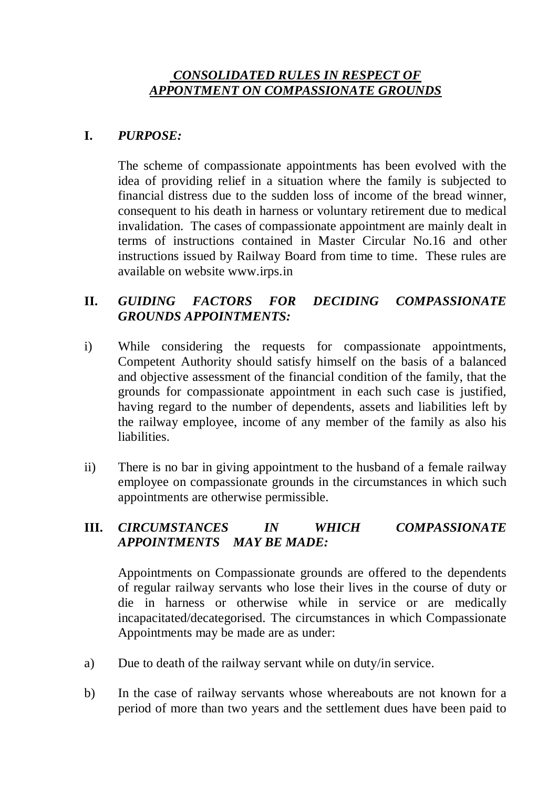### *CONSOLIDATED RULES IN RESPECT OF APPONTMENT ON COMPASSIONATE GROUNDS*

# **I.** *PURPOSE:*

The scheme of compassionate appointments has been evolved with the idea of providing relief in a situation where the family is subjected to financial distress due to the sudden loss of income of the bread winner, consequent to his death in harness or voluntary retirement due to medical invalidation. The cases of compassionate appointment are mainly dealt in terms of instructions contained in Master Circular No.16 and other instructions issued by Railway Board from time to time. These rules are available on website www.irps.in

# **II.** *GUIDING FACTORS FOR DECIDING COMPASSIONATE GROUNDS APPOINTMENTS:*

- i) While considering the requests for compassionate appointments, Competent Authority should satisfy himself on the basis of a balanced and objective assessment of the financial condition of the family, that the grounds for compassionate appointment in each such case is justified, having regard to the number of dependents, assets and liabilities left by the railway employee, income of any member of the family as also his liabilities.
- ii) There is no bar in giving appointment to the husband of a female railway employee on compassionate grounds in the circumstances in which such appointments are otherwise permissible.

### **III.** *CIRCUMSTANCES IN WHICH COMPASSIONATE APPOINTMENTS MAY BE MADE:*

Appointments on Compassionate grounds are offered to the dependents of regular railway servants who lose their lives in the course of duty or die in harness or otherwise while in service or are medically incapacitated/decategorised. The circumstances in which Compassionate Appointments may be made are as under:

- a) Due to death of the railway servant while on duty/in service.
- b) In the case of railway servants whose whereabouts are not known for a period of more than two years and the settlement dues have been paid to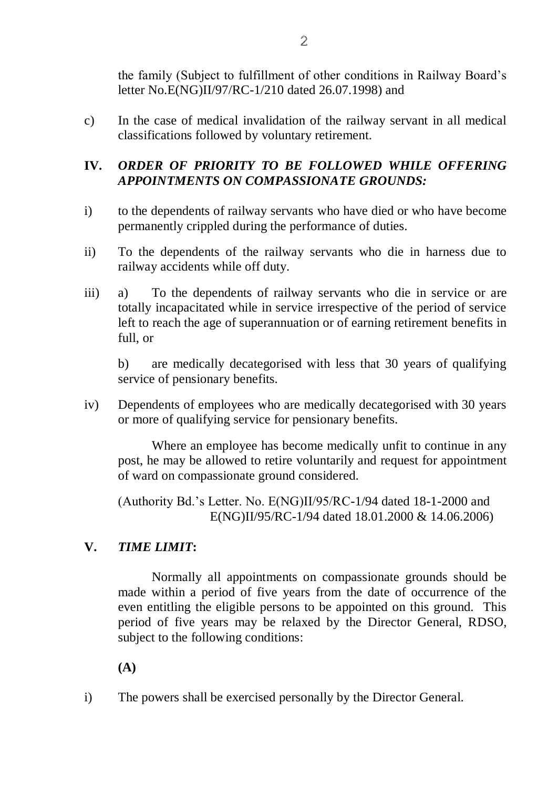the family (Subject to fulfillment of other conditions in Railway Board's letter No.E(NG)II/97/RC-1/210 dated 26.07.1998) and

c) In the case of medical invalidation of the railway servant in all medical classifications followed by voluntary retirement.

# **IV.** *ORDER OF PRIORITY TO BE FOLLOWED WHILE OFFERING APPOINTMENTS ON COMPASSIONATE GROUNDS:*

- i) to the dependents of railway servants who have died or who have become permanently crippled during the performance of duties.
- ii) To the dependents of the railway servants who die in harness due to railway accidents while off duty.
- iii) a) To the dependents of railway servants who die in service or are totally incapacitated while in service irrespective of the period of service left to reach the age of superannuation or of earning retirement benefits in full, or

b) are medically decategorised with less that 30 years of qualifying service of pensionary benefits.

iv) Dependents of employees who are medically decategorised with 30 years or more of qualifying service for pensionary benefits.

Where an employee has become medically unfit to continue in any post, he may be allowed to retire voluntarily and request for appointment of ward on compassionate ground considered.

(Authority Bd.'s Letter. No. E(NG)II/95/RC-1/94 dated 18-1-2000 and E(NG)II/95/RC-1/94 dated 18.01.2000 & 14.06.2006)

## **V.** *TIME LIMIT***:**

Normally all appointments on compassionate grounds should be made within a period of five years from the date of occurrence of the even entitling the eligible persons to be appointed on this ground. This period of five years may be relaxed by the Director General, RDSO, subject to the following conditions:

**(A)**

i) The powers shall be exercised personally by the Director General.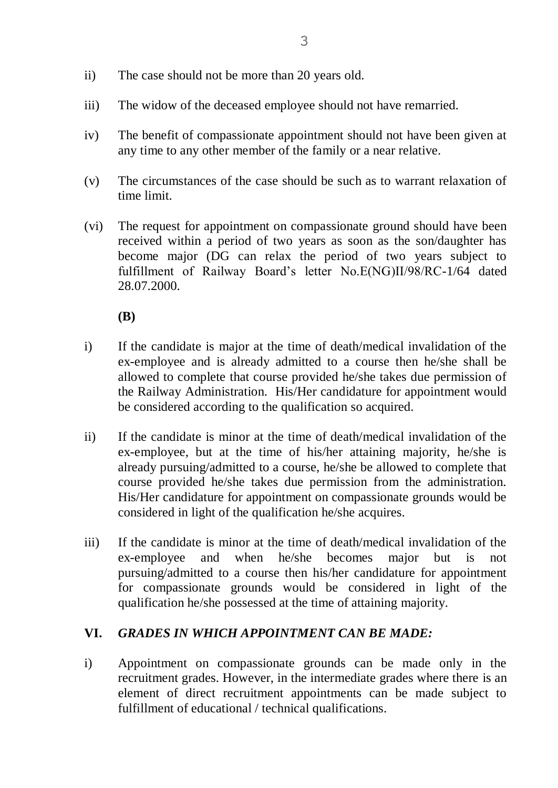- ii) The case should not be more than 20 years old.
- iii) The widow of the deceased employee should not have remarried.
- iv) The benefit of compassionate appointment should not have been given at any time to any other member of the family or a near relative.
- (v) The circumstances of the case should be such as to warrant relaxation of time limit.
- (vi) The request for appointment on compassionate ground should have been received within a period of two years as soon as the son/daughter has become major (DG can relax the period of two years subject to fulfillment of Railway Board's letter No.E(NG)II/98/RC-1/64 dated 28.07.2000.

**(B)**

- i) If the candidate is major at the time of death/medical invalidation of the ex-employee and is already admitted to a course then he/she shall be allowed to complete that course provided he/she takes due permission of the Railway Administration. His/Her candidature for appointment would be considered according to the qualification so acquired.
- ii) If the candidate is minor at the time of death/medical invalidation of the ex-employee, but at the time of his/her attaining majority, he/she is already pursuing/admitted to a course, he/she be allowed to complete that course provided he/she takes due permission from the administration. His/Her candidature for appointment on compassionate grounds would be considered in light of the qualification he/she acquires.
- iii) If the candidate is minor at the time of death/medical invalidation of the ex-employee and when he/she becomes major but is not pursuing/admitted to a course then his/her candidature for appointment for compassionate grounds would be considered in light of the qualification he/she possessed at the time of attaining majority.

#### **VI.** *GRADES IN WHICH APPOINTMENT CAN BE MADE:*

i) Appointment on compassionate grounds can be made only in the recruitment grades. However, in the intermediate grades where there is an element of direct recruitment appointments can be made subject to fulfillment of educational / technical qualifications.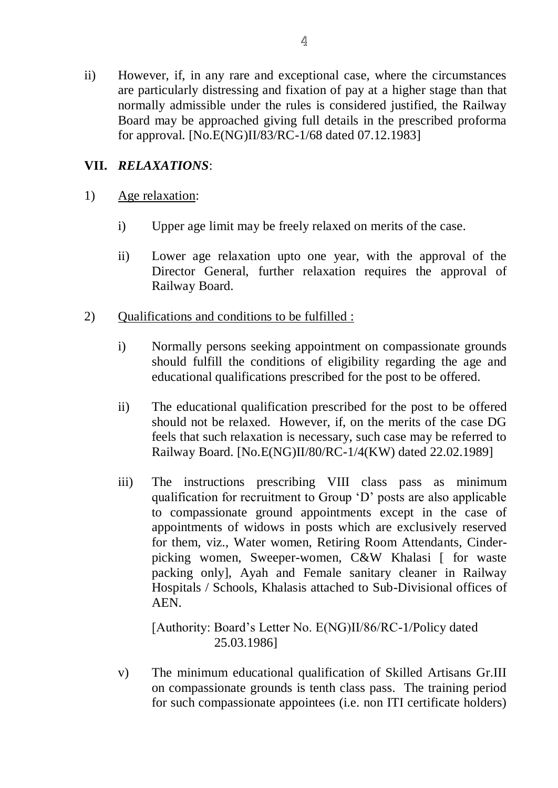ii) However, if, in any rare and exceptional case, where the circumstances are particularly distressing and fixation of pay at a higher stage than that normally admissible under the rules is considered justified, the Railway Board may be approached giving full details in the prescribed proforma for approval. [No.E(NG)II/83/RC-1/68 dated 07.12.1983]

### **VII.** *RELAXATIONS*:

- 1) Age relaxation:
	- i) Upper age limit may be freely relaxed on merits of the case.
	- ii) Lower age relaxation upto one year, with the approval of the Director General, further relaxation requires the approval of Railway Board.
- 2) Qualifications and conditions to be fulfilled :
	- i) Normally persons seeking appointment on compassionate grounds should fulfill the conditions of eligibility regarding the age and educational qualifications prescribed for the post to be offered.
	- ii) The educational qualification prescribed for the post to be offered should not be relaxed. However, if, on the merits of the case DG feels that such relaxation is necessary, such case may be referred to Railway Board. [No.E(NG)II/80/RC-1/4(KW) dated 22.02.1989]
	- iii) The instructions prescribing VIII class pass as minimum qualification for recruitment to Group 'D' posts are also applicable to compassionate ground appointments except in the case of appointments of widows in posts which are exclusively reserved for them, viz., Water women, Retiring Room Attendants, Cinderpicking women, Sweeper-women, C&W Khalasi [ for waste packing only], Ayah and Female sanitary cleaner in Railway Hospitals / Schools, Khalasis attached to Sub-Divisional offices of AEN.

[Authority: Board's Letter No. E(NG)II/86/RC-1/Policy dated 25.03.1986]

v) The minimum educational qualification of Skilled Artisans Gr.III on compassionate grounds is tenth class pass. The training period for such compassionate appointees (i.e. non ITI certificate holders)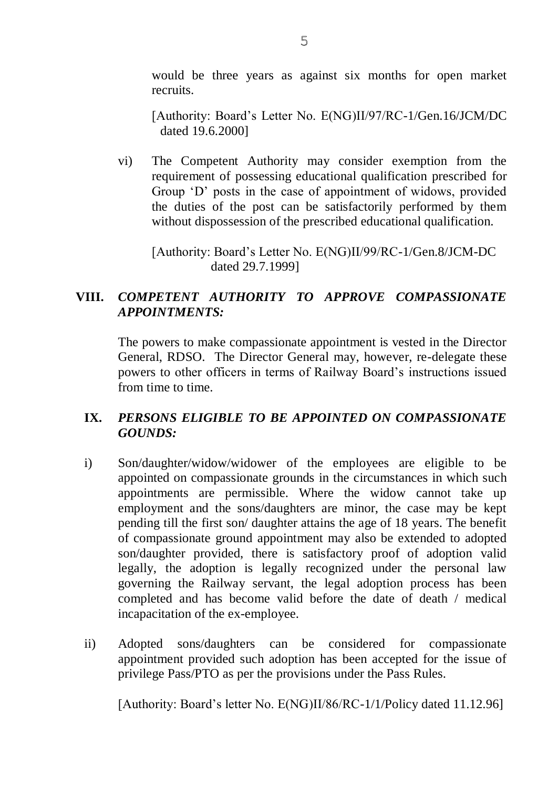would be three years as against six months for open market recruits.

[Authority: Board's Letter No. E(NG)II/97/RC-1/Gen.16/JCM/DC dated 19.6.2000]

vi) The Competent Authority may consider exemption from the requirement of possessing educational qualification prescribed for Group 'D' posts in the case of appointment of widows, provided the duties of the post can be satisfactorily performed by them without dispossession of the prescribed educational qualification.

[Authority: Board's Letter No. E(NG)II/99/RC-1/Gen.8/JCM-DC dated 29.7.1999]

### **VIII.** *COMPETENT AUTHORITY TO APPROVE COMPASSIONATE APPOINTMENTS:*

The powers to make compassionate appointment is vested in the Director General, RDSO. The Director General may, however, re-delegate these powers to other officers in terms of Railway Board's instructions issued from time to time.

### **IX.** *PERSONS ELIGIBLE TO BE APPOINTED ON COMPASSIONATE GOUNDS:*

- i) Son/daughter/widow/widower of the employees are eligible to be appointed on compassionate grounds in the circumstances in which such appointments are permissible. Where the widow cannot take up employment and the sons/daughters are minor, the case may be kept pending till the first son/ daughter attains the age of 18 years. The benefit of compassionate ground appointment may also be extended to adopted son/daughter provided, there is satisfactory proof of adoption valid legally, the adoption is legally recognized under the personal law governing the Railway servant, the legal adoption process has been completed and has become valid before the date of death / medical incapacitation of the ex-employee.
- ii) Adopted sons/daughters can be considered for compassionate appointment provided such adoption has been accepted for the issue of privilege Pass/PTO as per the provisions under the Pass Rules.

[Authority: Board's letter No. E(NG)II/86/RC-1/1/Policy dated 11.12.96]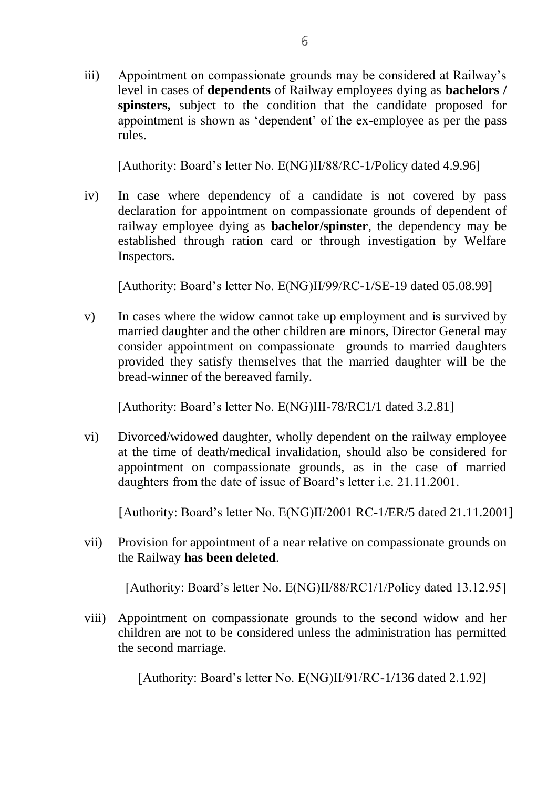iii) Appointment on compassionate grounds may be considered at Railway's level in cases of **dependents** of Railway employees dying as **bachelors / spinsters,** subject to the condition that the candidate proposed for appointment is shown as 'dependent' of the ex-employee as per the pass rules.

[Authority: Board's letter No. E(NG)II/88/RC-1/Policy dated 4.9.96]

iv) In case where dependency of a candidate is not covered by pass declaration for appointment on compassionate grounds of dependent of railway employee dying as **bachelor/spinster**, the dependency may be established through ration card or through investigation by Welfare Inspectors.

[Authority: Board's letter No. E(NG)II/99/RC-1/SE-19 dated 05.08.99]

v) In cases where the widow cannot take up employment and is survived by married daughter and the other children are minors, Director General may consider appointment on compassionate grounds to married daughters provided they satisfy themselves that the married daughter will be the bread-winner of the bereaved family.

[Authority: Board's letter No. E(NG)III-78/RC1/1 dated 3.2.81]

vi) Divorced/widowed daughter, wholly dependent on the railway employee at the time of death/medical invalidation, should also be considered for appointment on compassionate grounds, as in the case of married daughters from the date of issue of Board's letter i.e. 21.11.2001.

[Authority: Board's letter No. E(NG)II/2001 RC-1/ER/5 dated 21.11.2001]

vii) Provision for appointment of a near relative on compassionate grounds on the Railway **has been deleted**.

[Authority: Board's letter No. E(NG)II/88/RC1/1/Policy dated 13.12.95]

viii) Appointment on compassionate grounds to the second widow and her children are not to be considered unless the administration has permitted the second marriage.

[Authority: Board's letter No. E(NG)II/91/RC-1/136 dated 2.1.92]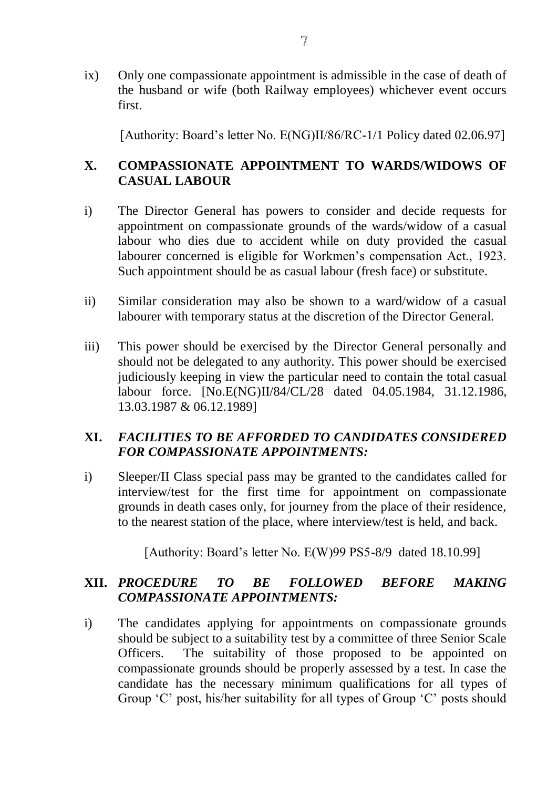ix) Only one compassionate appointment is admissible in the case of death of the husband or wife (both Railway employees) whichever event occurs first.

[Authority: Board's letter No. E(NG)II/86/RC-1/1 Policy dated 02.06.97]

# **X. COMPASSIONATE APPOINTMENT TO WARDS/WIDOWS OF CASUAL LABOUR**

- i) The Director General has powers to consider and decide requests for appointment on compassionate grounds of the wards/widow of a casual labour who dies due to accident while on duty provided the casual labourer concerned is eligible for Workmen's compensation Act., 1923. Such appointment should be as casual labour (fresh face) or substitute.
- ii) Similar consideration may also be shown to a ward/widow of a casual labourer with temporary status at the discretion of the Director General.
- iii) This power should be exercised by the Director General personally and should not be delegated to any authority. This power should be exercised judiciously keeping in view the particular need to contain the total casual labour force. [No.E(NG)II/84/CL/28 dated 04.05.1984, 31.12.1986, 13.03.1987 & 06.12.1989]

### **XI.** *FACILITIES TO BE AFFORDED TO CANDIDATES CONSIDERED FOR COMPASSIONATE APPOINTMENTS:*

i) Sleeper/II Class special pass may be granted to the candidates called for interview/test for the first time for appointment on compassionate grounds in death cases only, for journey from the place of their residence, to the nearest station of the place, where interview/test is held, and back.

[Authority: Board's letter No. E(W)99 PS5-8/9 dated 18.10.99]

## **XII.** *PROCEDURE TO BE FOLLOWED BEFORE MAKING COMPASSIONATE APPOINTMENTS:*

i) The candidates applying for appointments on compassionate grounds should be subject to a suitability test by a committee of three Senior Scale Officers. The suitability of those proposed to be appointed on compassionate grounds should be properly assessed by a test. In case the candidate has the necessary minimum qualifications for all types of Group 'C' post, his/her suitability for all types of Group 'C' posts should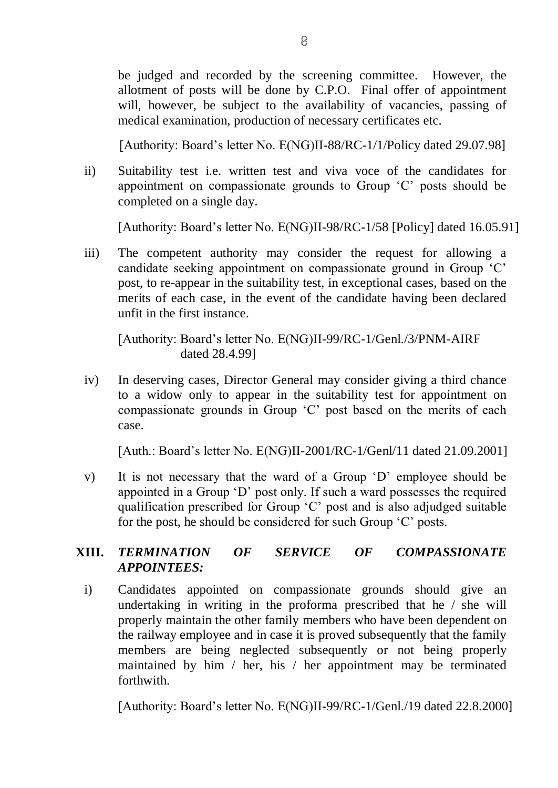be judged and recorded by the screening committee. However, the allotment of posts will be done by C.P.O. Final offer of appointment will, however, be subject to the availability of vacancies, passing of medical examination, production of necessary certificates etc.

[Authority: Board's letter No. E(NG)II-88/RC-1/1/Policy dated 29.07.98]

ii) Suitability test i.e. written test and viva voce of the candidates for appointment on compassionate grounds to Group 'C' posts should be completed on a single day.

[Authority: Board's letter No. E(NG)II-98/RC-1/58 [Policy] dated 16.05.91]

iii) The competent authority may consider the request for allowing a candidate seeking appointment on compassionate ground in Group 'C' post, to re-appear in the suitability test, in exceptional cases, based on the merits of each case, in the event of the candidate having been declared unfit in the first instance.

[Authority: Board's letter No. E(NG)II-99/RC-1/Genl./3/PNM-AIRF dated 28.4.99]

iv) In deserving cases, Director General may consider giving a third chance to a widow only to appear in the suitability test for appointment on compassionate grounds in Group 'C' post based on the merits of each case.

[Auth.: Board's letter No. E(NG)II-2001/RC-1/Genl/11 dated 21.09.2001]

v) It is not necessary that the ward of a Group 'D' employee should be appointed in a Group 'D' post only. If such a ward possesses the required qualification prescribed for Group 'C' post and is also adjudged suitable for the post, he should be considered for such Group 'C' posts.

# **XIII.** *TERMINATION OF SERVICE OF COMPASSIONATE APPOINTEES:*

i) Candidates appointed on compassionate grounds should give an undertaking in writing in the proforma prescribed that he / she will properly maintain the other family members who have been dependent on the railway employee and in case it is proved subsequently that the family members are being neglected subsequently or not being properly maintained by him / her, his / her appointment may be terminated forthwith.

[Authority: Board's letter No. E(NG)II-99/RC-1/Genl./19 dated 22.8.2000]